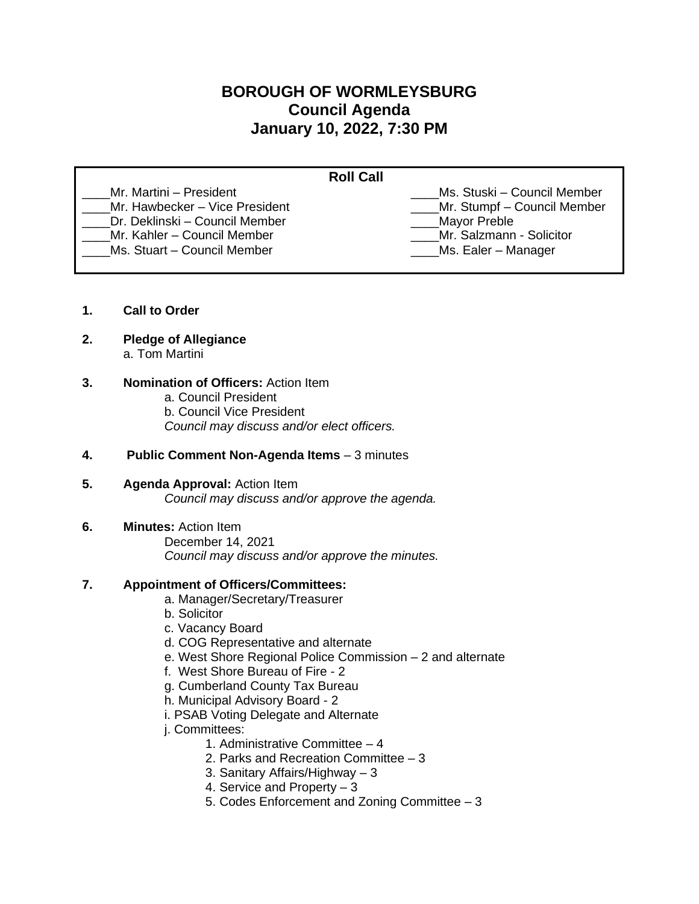# **BOROUGH OF WORMLEYSBURG Council Agenda January 10, 2022, 7:30 PM**

| <b>Roll Call</b>                                                                                                           |                                                                                                         |
|----------------------------------------------------------------------------------------------------------------------------|---------------------------------------------------------------------------------------------------------|
| Mr. Martini – President<br>Mr. Hawbecker - Vice President<br>Dr. Deklinski – Council Member<br>Mr. Kahler - Council Member | Ms. Stuski – Council Member<br>_Mr. Stumpf - Council Member<br>Mayor Preble<br>Mr. Salzmann - Solicitor |
| Ms. Stuart - Council Member                                                                                                | Ms. Ealer – Manager                                                                                     |

- **1. Call to Order**
- **2. Pledge of Allegiance** a. Tom Martini

#### **3. Nomination of Officers:** Action Item

- a. Council President
- b. Council Vice President

*Council may discuss and/or elect officers.* 

#### **4. Public Comment Non-Agenda Items** – 3 minutes

- **5. Agenda Approval:** Action Item *Council may discuss and/or approve the agenda.*
- **6. Minutes:** Action Item December 14, 2021 *Council may discuss and/or approve the minutes.*

# **7. Appointment of Officers/Committees:**

- a. Manager/Secretary/Treasurer
- b. Solicitor
- c. Vacancy Board
- d. COG Representative and alternate
- e. West Shore Regional Police Commission 2 and alternate
- f. West Shore Bureau of Fire 2
- g. Cumberland County Tax Bureau
- h. Municipal Advisory Board 2
- i. PSAB Voting Delegate and Alternate
- j. Committees:
	- 1. Administrative Committee 4
	- 2. Parks and Recreation Committee 3
	- 3. Sanitary Affairs/Highway 3
	- 4. Service and Property 3
	- 5. Codes Enforcement and Zoning Committee 3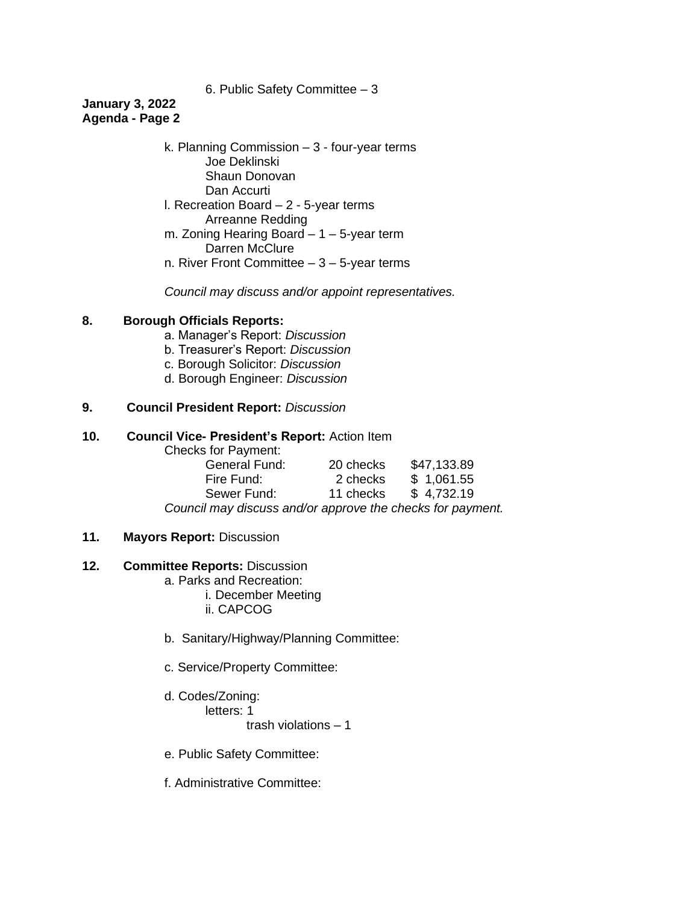6. Public Safety Committee – 3

# **January 3, 2022 Agenda - Page 2**

k. Planning Commission – 3 - four-year terms Joe Deklinski Shaun Donovan Dan Accurti l. Recreation Board – 2 - 5-year terms Arreanne Redding m. Zoning Hearing Board – 1 – 5-year term Darren McClure n. River Front Committee  $-3 - 5$ -year terms

*Council may discuss and/or appoint representatives.* 

# **8. Borough Officials Reports:**

- a. Manager's Report: *Discussion*
- b. Treasurer's Report: *Discussion*
- c. Borough Solicitor: *Discussion*
- d. Borough Engineer: *Discussion*

#### **9. Council President Report:** *Discussion*

#### **10. Council Vice- President's Report:** Action Item

Checks for Payment:

| <b>General Fund:</b>                                       | 20 checks | \$47,133.89 |  |
|------------------------------------------------------------|-----------|-------------|--|
| Fire Fund:                                                 | 2 checks  | \$1,061.55  |  |
| Sewer Fund:                                                | 11 checks | \$4,732.19  |  |
| Council may discuss and/or approve the checks for payment. |           |             |  |

#### **11. Mayors Report:** Discussion

# **12. Committee Reports:** Discussion

- a. Parks and Recreation:
	- i. December Meeting
		- ii. CAPCOG
- b. Sanitary/Highway/Planning Committee:
- c. Service/Property Committee:

#### d. Codes/Zoning: letters: 1

trash violations – 1

- e. Public Safety Committee:
- f. Administrative Committee: